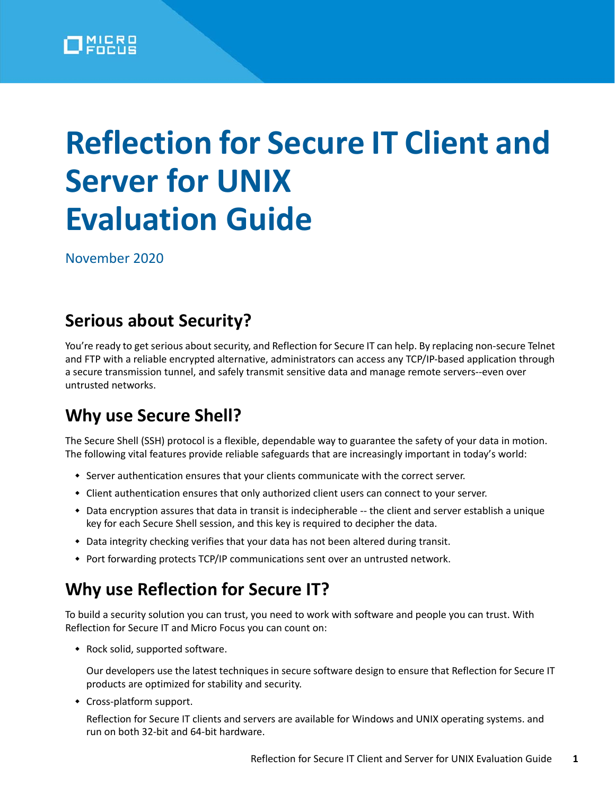

# **Reflection for Secure IT Client and Server for UNIX Evaluation Guide**

November 2020

## **Serious about Security?**

You're ready to get serious about security, and Reflection for Secure IT can help. By replacing non-secure Telnet and FTP with a reliable encrypted alternative, administrators can access any TCP/IP-based application through a secure transmission tunnel, and safely transmit sensitive data and manage remote servers--even over untrusted networks.

## **Why use Secure Shell?**

The Secure Shell (SSH) protocol is a flexible, dependable way to guarantee the safety of your data in motion. The following vital features provide reliable safeguards that are increasingly important in today's world:

- Server authentication ensures that your clients communicate with the correct server.
- Client authentication ensures that only authorized client users can connect to your server.
- Data encryption assures that data in transit is indecipherable -- the client and server establish a unique key for each Secure Shell session, and this key is required to decipher the data.
- Data integrity checking verifies that your data has not been altered during transit.
- Port forwarding protects TCP/IP communications sent over an untrusted network.

## **Why use Reflection for Secure IT?**

To build a security solution you can trust, you need to work with software and people you can trust. With Reflection for Secure IT and Micro Focus you can count on:

• Rock solid, supported software.

Our developers use the latest techniques in secure software design to ensure that Reflection for Secure IT products are optimized for stability and security.

Cross-platform support.

Reflection for Secure IT clients and servers are available for Windows and UNIX operating systems. and run on both 32-bit and 64-bit hardware.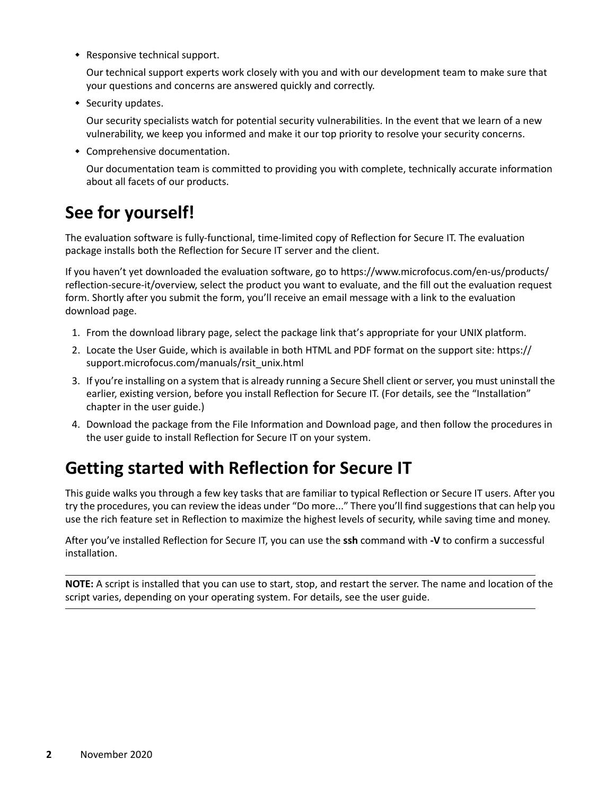• Responsive technical support.

Our technical support experts work closely with you and with our development team to make sure that your questions and concerns are answered quickly and correctly.

• Security updates.

Our security specialists watch for potential security vulnerabilities. In the event that we learn of a new vulnerability, we keep you informed and make it our top priority to resolve your security concerns.

Comprehensive documentation.

Our documentation team is committed to providing you with complete, technically accurate information about all facets of our products.

## **See for yourself!**

The evaluation software is fully-functional, time-limited copy of Reflection for Secure IT. The evaluation package installs both the Reflection for Secure IT server and the client.

If you haven't yet downloaded the evaluation software, go to https://www.microfocus.com/en-us/products/ reflection-secure-it/overview, select the product you want to evaluate, and the fill out the evaluation request form. Shortly after you submit the form, you'll receive an email message with a link to the evaluation download page.

- 1. From the download library page, select the package link that's appropriate for your UNIX platform.
- 2. Locate the User Guide, which is available in both HTML and PDF format on the support site: https:// support.microfocus.com/manuals/rsit\_unix.html
- 3. If you're installing on a system that is already running a Secure Shell client or server, you must uninstall the earlier, existing version, before you install Reflection for Secure IT. (For details, see the "Installation" chapter in the user guide.)
- 4. Download the package from the File Information and Download page, and then follow the procedures in the user guide to install Reflection for Secure IT on your system.

## **Getting started with Reflection for Secure IT**

This guide walks you through a few key tasks that are familiar to typical Reflection or Secure IT users. After you try the procedures, you can review the ideas under "Do more..." There you'll find suggestions that can help you use the rich feature set in Reflection to maximize the highest levels of security, while saving time and money.

After you've installed Reflection for Secure IT, you can use the **ssh** command with **-V** to confirm a successful installation.

**NOTE:** A script is installed that you can use to start, stop, and restart the server. The name and location of the script varies, depending on your operating system. For details, see the user guide.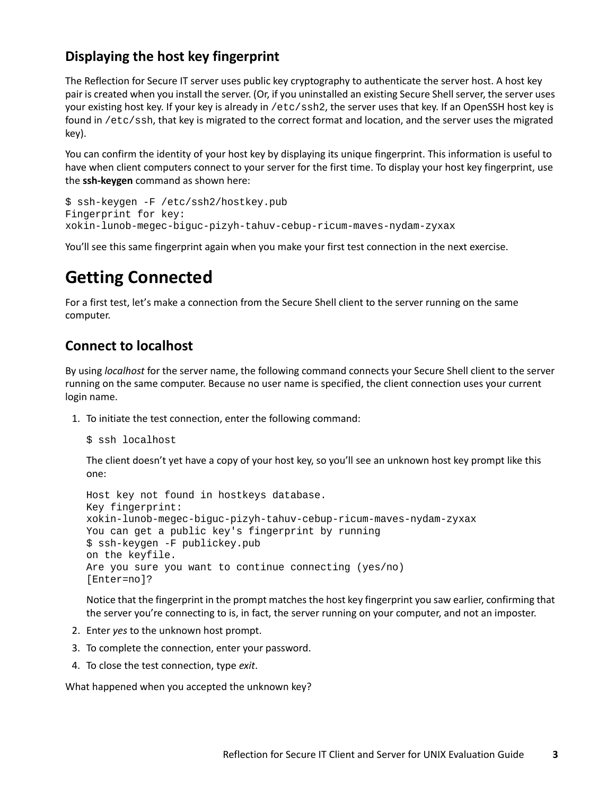#### **Displaying the host key fingerprint**

The Reflection for Secure IT server uses public key cryptography to authenticate the server host. A host key pair is created when you install the server. (Or, if you uninstalled an existing Secure Shell server, the server uses your existing host key. If your key is already in /etc/ssh2, the server uses that key. If an OpenSSH host key is found in /etc/ssh, that key is migrated to the correct format and location, and the server uses the migrated key).

You can confirm the identity of your host key by displaying its unique fingerprint. This information is useful to have when client computers connect to your server for the first time. To display your host key fingerprint, use the **ssh-keygen** command as shown here:

```
$ ssh-keygen -F /etc/ssh2/hostkey.pub
Fingerprint for key:
xokin-lunob-megec-biguc-pizyh-tahuv-cebup-ricum-maves-nydam-zyxax
```
You'll see this same fingerprint again when you make your first test connection in the next exercise.

## **Getting Connected**

For a first test, let's make a connection from the Secure Shell client to the server running on the same computer.

#### **Connect to localhost**

By using *localhost* for the server name, the following command connects your Secure Shell client to the server running on the same computer. Because no user name is specified, the client connection uses your current login name.

1. To initiate the test connection, enter the following command:

```
$ ssh localhost
```
The client doesn't yet have a copy of your host key, so you'll see an unknown host key prompt like this one:

```
Host key not found in hostkeys database.
Key fingerprint:
xokin-lunob-megec-biguc-pizyh-tahuv-cebup-ricum-maves-nydam-zyxax
You can get a public key's fingerprint by running
$ ssh-keygen -F publickey.pub
on the keyfile.
Are you sure you want to continue connecting (yes/no)
[Enter=no]?
```
Notice that the fingerprint in the prompt matches the host key fingerprint you saw earlier, confirming that the server you're connecting to is, in fact, the server running on your computer, and not an imposter.

- 2. Enter *yes* to the unknown host prompt.
- 3. To complete the connection, enter your password.
- 4. To close the test connection, type *exit*.

What happened when you accepted the unknown key?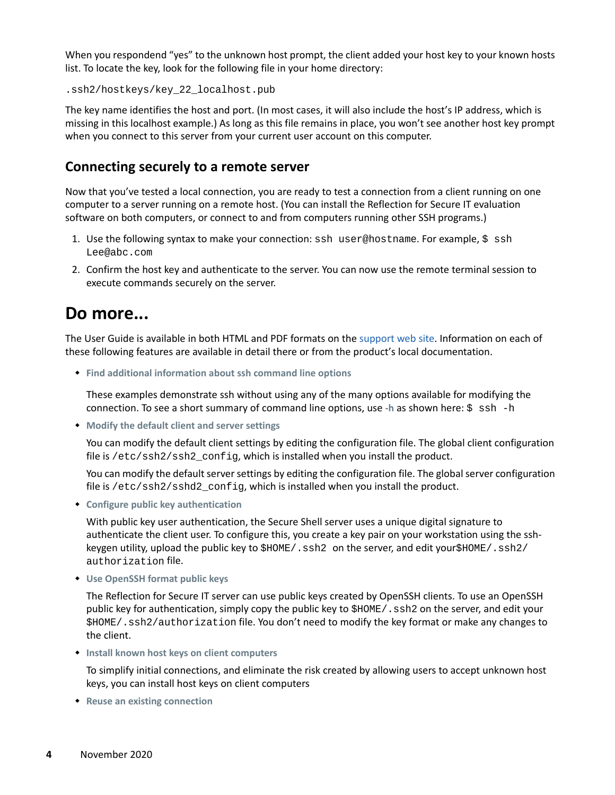When you respondend "yes" to the unknown host prompt, the client added your host key to your known hosts list. To locate the key, look for the following file in your home directory:

.ssh2/hostkeys/key\_22\_localhost.pub

The key name identifies the host and port. (In most cases, it will also include the host's IP address, which is missing in this localhost example.) As long as this file remains in place, you won't see another host key prompt when you connect to this server from your current user account on this computer.

#### **Connecting securely to a remote server**

Now that you've tested a local connection, you are ready to test a connection from a client running on one computer to a server running on a remote host. (You can install the Reflection for Secure IT evaluation software on both computers, or connect to and from computers running other SSH programs.)

- 1. Use the following syntax to make your connection: ssh user@hostname. For example, \$ ssh Lee@abc.com
- 2. Confirm the host key and authenticate to the server. You can now use the remote terminal session to execute commands securely on the server.

## **Do more...**

The User Guide is available in both HTML and PDF formats on the [support web site.](https://support.microfocus.com/manuals/rsit_unix.html) Information on each of these following features are available in detail there or from the product's local documentation.

**Find additional information about ssh command line options**

These examples demonstrate ssh without using any of the many options available for modifying the connection. To see a short summary of command line options, use **-h** as shown here: \$ ssh -h

**Modify the default client and server settings**

You can modify the default client settings by editing the configuration file. The global client configuration file is  $/etc/ssh2/ssh2$  config, which is installed when you install the product.

You can modify the default server settings by editing the configuration file. The global server configuration file is  $/etc/ssh2/sshd2$  config, which is installed when you install the product.

**Configure public key authentication**

With public key user authentication, the Secure Shell server uses a unique digital signature to authenticate the client user. To configure this, you create a key pair on your workstation using the sshkeygen utility, upload the public key to  $$HOME/$ .  $\text{ssh2}$  on the server, and edit your $$HOME/$ .  $\text{ssh2}/$ authorization file.

**Use OpenSSH format public keys**

The Reflection for Secure IT server can use public keys created by OpenSSH clients. To use an OpenSSH public key for authentication, simply copy the public key to  $$HOME/$ . ssh2 on the server, and edit your \$HOME/.ssh2/authorization file. You don't need to modify the key format or make any changes to the client.

**Install known host keys on client computers**

To simplify initial connections, and eliminate the risk created by allowing users to accept unknown host keys, you can install host keys on client computers

**Reuse an existing connection**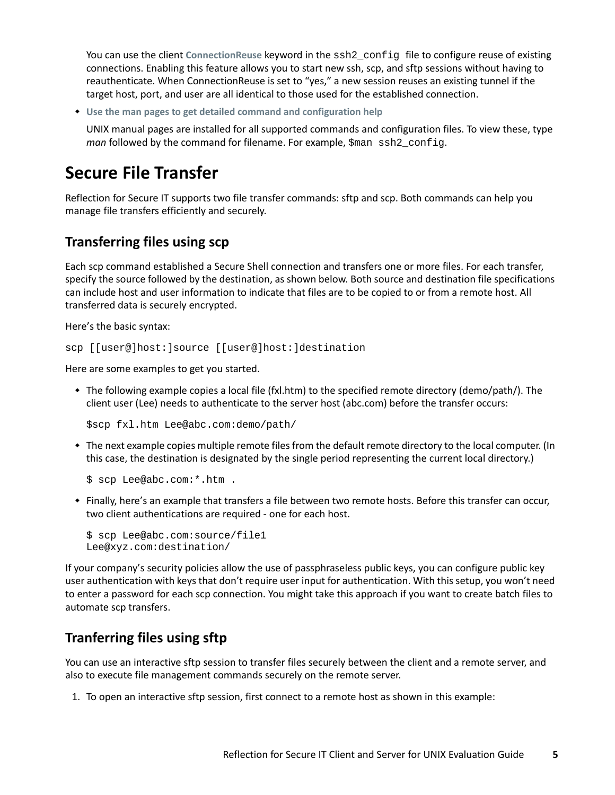You can use the client **ConnectionReuse** keyword in the ssh2\_config file to configure reuse of existing connections. Enabling this feature allows you to start new ssh, scp, and sftp sessions without having to reauthenticate. When ConnectionReuse is set to "yes," a new session reuses an existing tunnel if the target host, port, and user are all identical to those used for the established connection.

**Use the man pages to get detailed command and configuration help**

UNIX manual pages are installed for all supported commands and configuration files. To view these, type *man* followed by the command for filename. For example, \$man ssh2 config.

## **Secure File Transfer**

Reflection for Secure IT supports two file transfer commands: sftp and scp. Both commands can help you manage file transfers efficiently and securely.

## **Transferring files using scp**

Each scp command established a Secure Shell connection and transfers one or more files. For each transfer, specify the source followed by the destination, as shown below. Both source and destination file specifications can include host and user information to indicate that files are to be copied to or from a remote host. All transferred data is securely encrypted.

Here's the basic syntax:

scp [[user@]host:]source [[user@]host:]destination

Here are some examples to get you started.

 The following example copies a local file (fxl.htm) to the specified remote directory (demo/path/). The client user (Lee) needs to authenticate to the server host (abc.com) before the transfer occurs:

```
$scp fxl.htm Lee@abc.com:demo/path/
```
 The next example copies multiple remote files from the default remote directory to the local computer. (In this case, the destination is designated by the single period representing the current local directory.)

```
$ scp Lee@abc.com:*.htm .
```
 Finally, here's an example that transfers a file between two remote hosts. Before this transfer can occur, two client authentications are required - one for each host.

```
$ scp Lee@abc.com:source/file1
Lee@xyz.com:destination/
```
If your company's security policies allow the use of passphraseless public keys, you can configure public key user authentication with keys that don't require user input for authentication. With this setup, you won't need to enter a password for each scp connection. You might take this approach if you want to create batch files to automate scp transfers.

### **Tranferring files using sftp**

You can use an interactive sftp session to transfer files securely between the client and a remote server, and also to execute file management commands securely on the remote server.

1. To open an interactive sftp session, first connect to a remote host as shown in this example: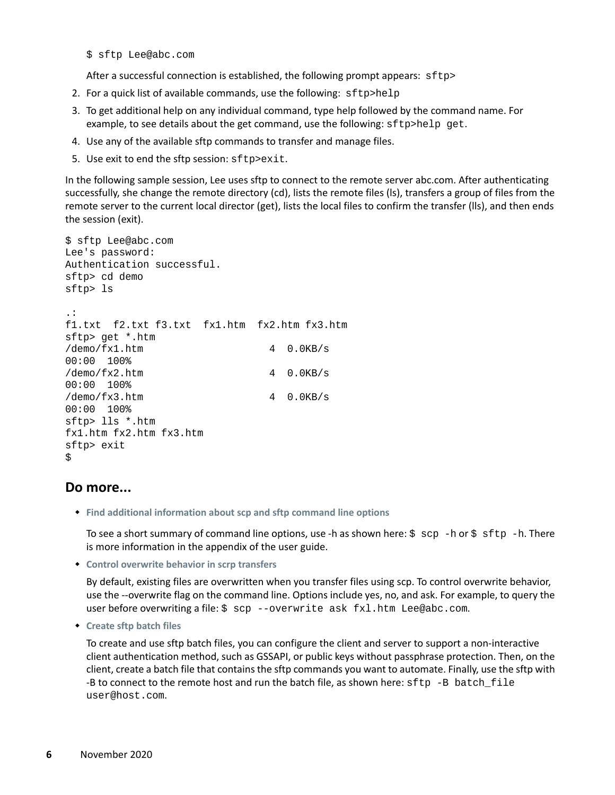\$ sftp Lee@abc.com

After a successful connection is established, the following prompt appears: sftp>

- 2. For a quick list of available commands, use the following: sftp>help
- 3. To get additional help on any individual command, type help followed by the command name. For example, to see details about the get command, use the following: sftp>help get.
- 4. Use any of the available sftp commands to transfer and manage files.
- 5. Use exit to end the sftp session: sftp>exit.

In the following sample session, Lee uses sftp to connect to the remote server abc.com. After authenticating successfully, she change the remote directory (cd), lists the remote files (ls), transfers a group of files from the remote server to the current local director (get), lists the local files to confirm the transfer (lls), and then ends the session (exit).

```
$ sftp Lee@abc.com 
Lee's password:
Authentication successful. 
sftp> cd demo
sftp> ls
.: 
f1.txt f2.txt f3.txt fx1.htm fx2.htm fx3.htm
sftp> get *.htm
/demo/fx1.htm 4 0.0KB/s
00:00 100%
/\text{demo}/\text{fx2.htm} 4 0.0KB/s
00:00 100%
/\text{demo}/\text{fx3.htm} 4 0.0KB/s
00:00 100%
sftp> lls *.htm
fx1.htm fx2.htm fx3.htm 
sftp> exit
\mathcal{S}
```
#### **Do more...**

**Find additional information about scp and sftp command line options**

To see a short summary of command line options, use -h as shown here:  $\frac{1}{5}$  scp -h or  $\frac{1}{5}$  sftp -h. There is more information in the appendix of the user guide.

**Control overwrite behavior in scrp transfers**

By default, existing files are overwritten when you transfer files using scp. To control overwrite behavior, use the --overwrite flag on the command line. Options include yes, no, and ask. For example, to query the user before overwriting a file: \$ scp --overwrite ask fxl.htm Lee@abc.com.

**Create sftp batch files**

To create and use sftp batch files, you can configure the client and server to support a non-interactive client authentication method, such as GSSAPI, or public keys without passphrase protection. Then, on the client, create a batch file that contains the sftp commands you want to automate. Finally, use the sftp with -B to connect to the remote host and run the batch file, as shown here:  $sftp -B batch_file$ user@host.com.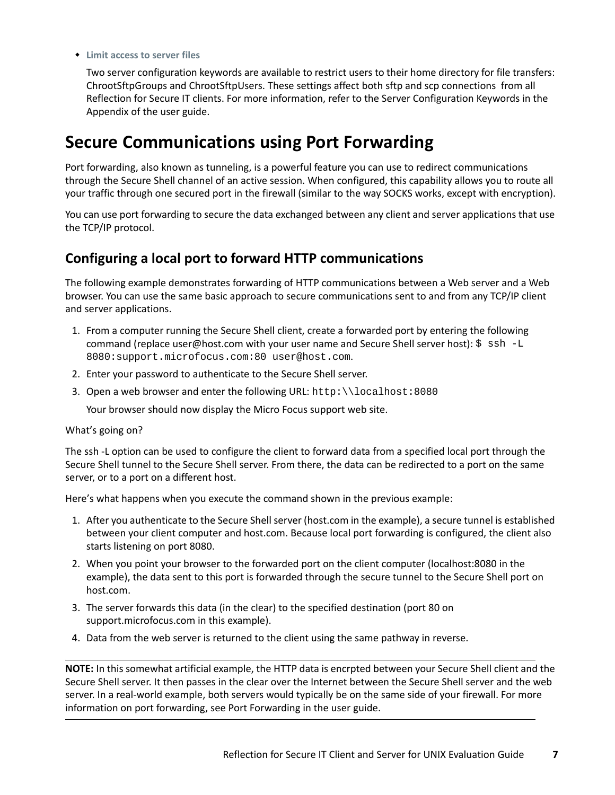#### **Limit access to server files**

Two server configuration keywords are available to restrict users to their home directory for file transfers: ChrootSftpGroups and ChrootSftpUsers. These settings affect both sftp and scp connections from all Reflection for Secure IT clients. For more information, refer to the Server Configuration Keywords in the Appendix of the user guide.

## **Secure Communications using Port Forwarding**

Port forwarding, also known as tunneling, is a powerful feature you can use to redirect communications through the Secure Shell channel of an active session. When configured, this capability allows you to route all your traffic through one secured port in the firewall (similar to the way SOCKS works, except with encryption).

You can use port forwarding to secure the data exchanged between any client and server applications that use the TCP/IP protocol.

#### **Configuring a local port to forward HTTP communications**

The following example demonstrates forwarding of HTTP communications between a Web server and a Web browser. You can use the same basic approach to secure communications sent to and from any TCP/IP client and server applications.

- 1. From a computer running the Secure Shell client, create a forwarded port by entering the following command (replace user@host.com with your user name and Secure Shell server host):  $\zeta$  ssh -L 8080:support.microfocus.com:80 user@host.com.
- 2. Enter your password to authenticate to the Secure Shell server.
- 3. Open a web browser and enter the following URL: http: \\localhost:8080

Your browser should now display the Micro Focus support web site.

#### What's going on?

The ssh -L option can be used to configure the client to forward data from a specified local port through the Secure Shell tunnel to the Secure Shell server. From there, the data can be redirected to a port on the same server, or to a port on a different host.

Here's what happens when you execute the command shown in the previous example:

- 1. After you authenticate to the Secure Shell server (host.com in the example), a secure tunnel is established between your client computer and host.com. Because local port forwarding is configured, the client also starts listening on port 8080.
- 2. When you point your browser to the forwarded port on the client computer (localhost:8080 in the example), the data sent to this port is forwarded through the secure tunnel to the Secure Shell port on host.com.
- 3. The server forwards this data (in the clear) to the specified destination (port 80 on support.microfocus.com in this example).
- 4. Data from the web server is returned to the client using the same pathway in reverse.

**NOTE:** In this somewhat artificial example, the HTTP data is encrpted between your Secure Shell client and the Secure Shell server. It then passes in the clear over the Internet between the Secure Shell server and the web server. In a real-world example, both servers would typically be on the same side of your firewall. For more information on port forwarding, see Port Forwarding in the user guide.